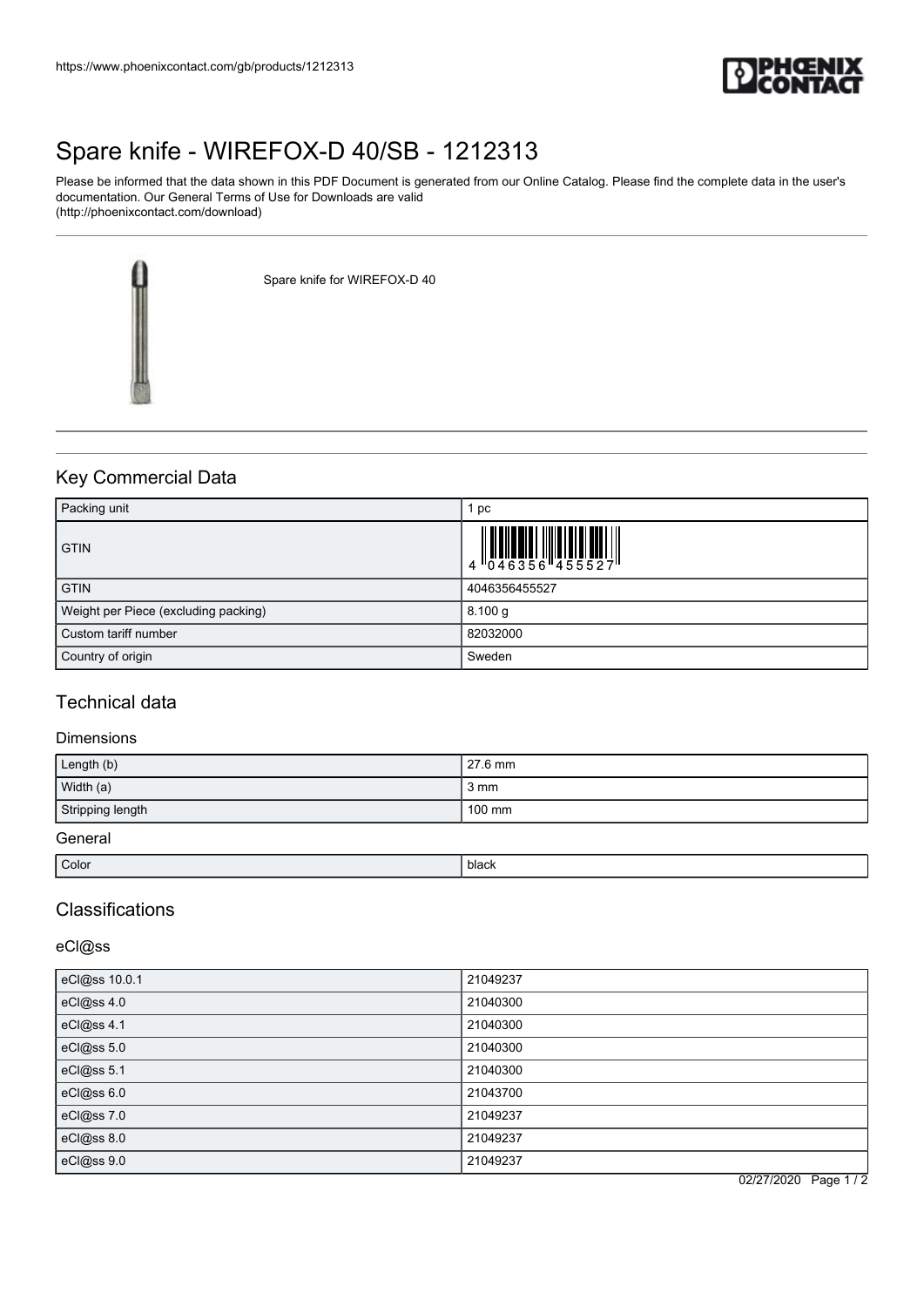

# [Spare knife - WIREFOX-D 40/SB - 1212313](https://www.phoenixcontact.com/gb/products/1212313)

Please be informed that the data shown in this PDF Document is generated from our Online Catalog. Please find the complete data in the user's documentation. Our General Terms of Use for Downloads are valid (http://phoenixcontact.com/download)

Spare knife for WIREFOX-D 40

# Key Commercial Data

| Packing unit                         | $i$ pc                                                                                         |
|--------------------------------------|------------------------------------------------------------------------------------------------|
| <b>GTIN</b>                          | $\begin{array}{c} 1 & 0 & 0 & 0 \\ 0 & 4 & 6 & 3 & 5 & 6 \\ 1 & 0 & 4 & 6 & 3 & 5 \end{array}$ |
| <b>GTIN</b>                          | 4046356455527                                                                                  |
| Weight per Piece (excluding packing) | 8.100 g                                                                                        |
| Custom tariff number                 | 82032000                                                                                       |
| Country of origin                    | Sweden                                                                                         |

### Technical data

### Dimensions

| Length (b)       | 27.6 mm          |
|------------------|------------------|
| Width (a)        | 3 mm             |
| Stripping length | $100 \text{ mm}$ |
| General          |                  |

| Color | black |
|-------|-------|
|       |       |

# Classifications

### eCl@ss

| eCl@ss 10.0.1 | 21049237 |
|---------------|----------|
| eCl@ss 4.0    | 21040300 |
| eCl@ss 4.1    | 21040300 |
| eCl@ss 5.0    | 21040300 |
| eCl@ss 5.1    | 21040300 |
| eCl@ss 6.0    | 21043700 |
| eCl@ss 7.0    | 21049237 |
| eCl@ss 8.0    | 21049237 |
| eCl@ss 9.0    | 21049237 |

02/27/2020 Page 1 / 2